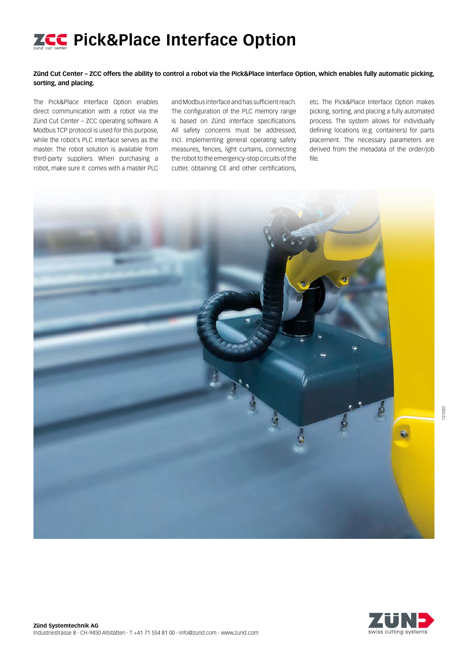# **ZCC** Pick&Place Interface Option

## **Zünd Cut Center – ZCC offers the ability to control a robot via the Pick&Place Interface Option, which enables fully automatic picking, sorting, and placing.**

The Pick&Place Interface Option enables direct communication with a robot via the Zünd Cut Center – ZCC operating software. A Modbus TCP protocol is used for this purpose, while the robot's PLC interface serves as the master. The robot solution is available from third-party suppliers. When purchasing a robot, make sure it comes with a master PLC

and Modbus interface and has sufficient reach. The configuration of the PLC memory range is based on Zünd interface specifications. All safety concerns must be addressed, incl. implementing general operating safety measures, fences, light curtains, connecting the robot to the emergency-stop circuits of the cutter, obtaining CE and other certifications,

etc. The Pick&Place Interface Option makes picking, sorting, and placing a fully automated process. The system allows for individually defining locations (e.g. containers) for parts placement. The necessary parameters are derived from the metadata of the order/job file.